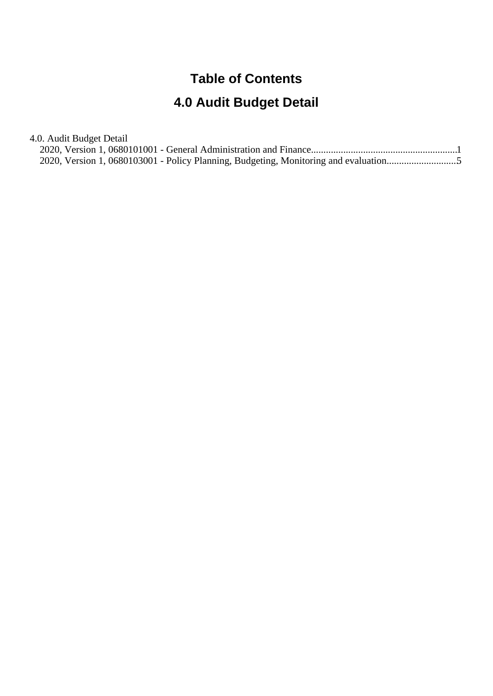# **Table of Contents**

# **4.0 Audit Budget Detail**

4.0. Audit Budget Detail

| 2020, Version 1, 0680103001 - Policy Planning, Budgeting, Monitoring and evaluation |  |
|-------------------------------------------------------------------------------------|--|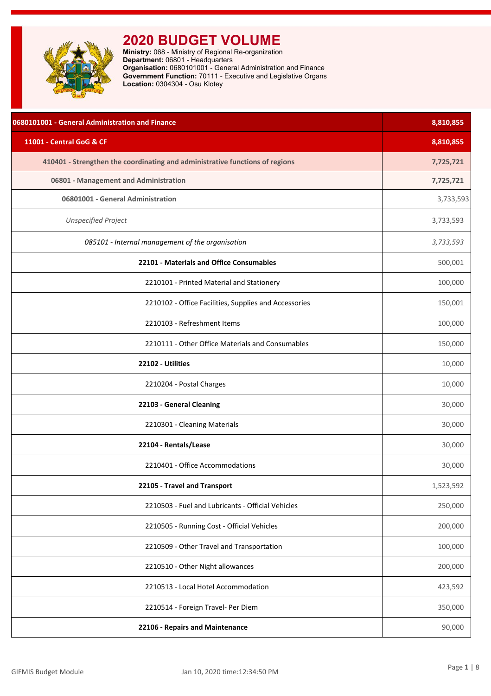<span id="page-1-0"></span>

| 0680101001 - General Administration and Finance                              | 8,810,855 |
|------------------------------------------------------------------------------|-----------|
| 11001 - Central GoG & CF                                                     | 8,810,855 |
| 410401 - Strengthen the coordinating and administrative functions of regions | 7,725,721 |
| 06801 - Management and Administration                                        | 7,725,721 |
| 06801001 - General Administration                                            | 3,733,593 |
| <b>Unspecified Project</b>                                                   | 3,733,593 |
| 085101 - Internal management of the organisation                             | 3,733,593 |
| 22101 - Materials and Office Consumables                                     | 500,001   |
| 2210101 - Printed Material and Stationery                                    | 100,000   |
| 2210102 - Office Facilities, Supplies and Accessories                        | 150,001   |
| 2210103 - Refreshment Items                                                  | 100,000   |
| 2210111 - Other Office Materials and Consumables                             | 150,000   |
| 22102 - Utilities                                                            | 10,000    |
| 2210204 - Postal Charges                                                     | 10,000    |
| 22103 - General Cleaning                                                     | 30,000    |
| 2210301 - Cleaning Materials                                                 | 30,000    |
| 22104 - Rentals/Lease                                                        | 30,000    |
| 2210401 - Office Accommodations                                              | 30,000    |
| 22105 - Travel and Transport                                                 | 1,523,592 |
| 2210503 - Fuel and Lubricants - Official Vehicles                            | 250,000   |
| 2210505 - Running Cost - Official Vehicles                                   | 200,000   |
| 2210509 - Other Travel and Transportation                                    | 100,000   |
| 2210510 - Other Night allowances                                             | 200,000   |
| 2210513 - Local Hotel Accommodation                                          | 423,592   |
| 2210514 - Foreign Travel- Per Diem                                           | 350,000   |
| 22106 - Repairs and Maintenance                                              | 90,000    |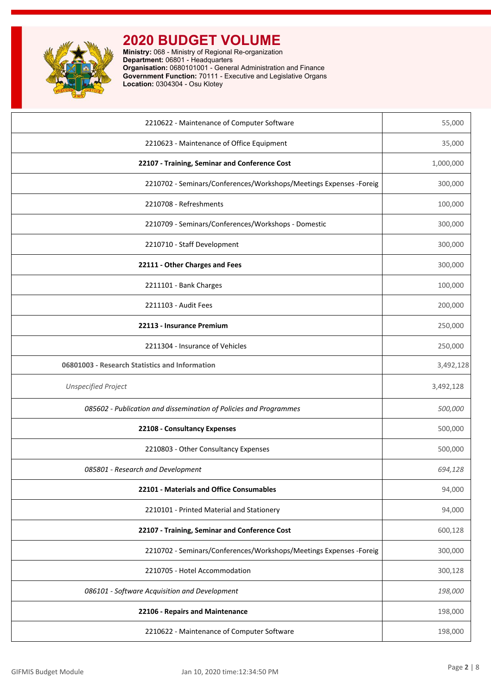

| 2210622 - Maintenance of Computer Software                          | 55,000    |
|---------------------------------------------------------------------|-----------|
| 2210623 - Maintenance of Office Equipment                           | 35,000    |
| 22107 - Training, Seminar and Conference Cost                       | 1,000,000 |
| 2210702 - Seminars/Conferences/Workshops/Meetings Expenses - Foreig | 300,000   |
| 2210708 - Refreshments                                              | 100,000   |
| 2210709 - Seminars/Conferences/Workshops - Domestic                 | 300,000   |
| 2210710 - Staff Development                                         | 300,000   |
| 22111 - Other Charges and Fees                                      | 300,000   |
| 2211101 - Bank Charges                                              | 100,000   |
| 2211103 - Audit Fees                                                | 200,000   |
| 22113 - Insurance Premium                                           | 250,000   |
| 2211304 - Insurance of Vehicles                                     | 250,000   |
| 06801003 - Research Statistics and Information                      | 3,492,128 |
| <b>Unspecified Project</b>                                          | 3,492,128 |
| 085602 - Publication and dissemination of Policies and Programmes   | 500,000   |
| 22108 - Consultancy Expenses                                        | 500,000   |
| 2210803 - Other Consultancy Expenses                                | 500,000   |
| 085801 - Research and Development                                   | 694,128   |
| 22101 - Materials and Office Consumables                            | 94,000    |
| 2210101 - Printed Material and Stationery                           | 94,000    |
| 22107 - Training, Seminar and Conference Cost                       | 600,128   |
| 2210702 - Seminars/Conferences/Workshops/Meetings Expenses -Foreig  | 300,000   |
| 2210705 - Hotel Accommodation                                       | 300,128   |
| 086101 - Software Acquisition and Development                       | 198,000   |
| 22106 - Repairs and Maintenance                                     | 198,000   |
| 2210622 - Maintenance of Computer Software                          | 198,000   |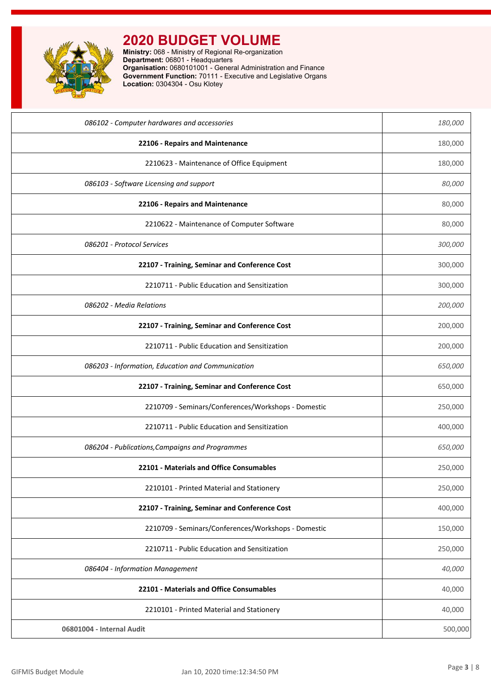

| 086102 - Computer hardwares and accessories         | 180,000 |
|-----------------------------------------------------|---------|
| 22106 - Repairs and Maintenance                     | 180,000 |
| 2210623 - Maintenance of Office Equipment           | 180,000 |
| 086103 - Software Licensing and support             | 80,000  |
| 22106 - Repairs and Maintenance                     | 80,000  |
| 2210622 - Maintenance of Computer Software          | 80,000  |
| 086201 - Protocol Services                          | 300,000 |
| 22107 - Training, Seminar and Conference Cost       | 300,000 |
| 2210711 - Public Education and Sensitization        | 300,000 |
| 086202 - Media Relations                            | 200,000 |
| 22107 - Training, Seminar and Conference Cost       | 200,000 |
| 2210711 - Public Education and Sensitization        | 200,000 |
| 086203 - Information, Education and Communication   | 650,000 |
| 22107 - Training, Seminar and Conference Cost       | 650,000 |
| 2210709 - Seminars/Conferences/Workshops - Domestic | 250,000 |
| 2210711 - Public Education and Sensitization        | 400,000 |
| 086204 - Publications, Campaigns and Programmes     | 650,000 |
| 22101 - Materials and Office Consumables            | 250,000 |
| 2210101 - Printed Material and Stationery           | 250,000 |
| 22107 - Training, Seminar and Conference Cost       | 400,000 |
| 2210709 - Seminars/Conferences/Workshops - Domestic | 150,000 |
| 2210711 - Public Education and Sensitization        | 250,000 |
| 086404 - Information Management                     | 40,000  |
| 22101 - Materials and Office Consumables            | 40,000  |
| 2210101 - Printed Material and Stationery           | 40,000  |
| 06801004 - Internal Audit                           | 500,000 |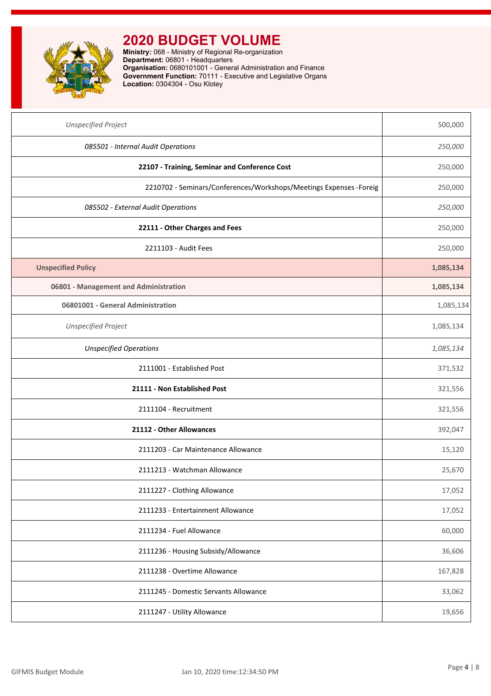

| <b>Unspecified Project</b>                                          | 500,000   |
|---------------------------------------------------------------------|-----------|
| 085501 - Internal Audit Operations                                  | 250,000   |
| 22107 - Training, Seminar and Conference Cost                       | 250,000   |
| 2210702 - Seminars/Conferences/Workshops/Meetings Expenses - Foreig | 250,000   |
| 085502 - External Audit Operations                                  | 250,000   |
| 22111 - Other Charges and Fees                                      | 250,000   |
| 2211103 - Audit Fees                                                | 250,000   |
| <b>Unspecified Policy</b>                                           | 1,085,134 |
| 06801 - Management and Administration                               | 1,085,134 |
| 06801001 - General Administration                                   | 1,085,134 |
| <b>Unspecified Project</b>                                          | 1,085,134 |
| <b>Unspecified Operations</b>                                       | 1,085,134 |
| 2111001 - Established Post                                          | 371,532   |
| 21111 - Non Established Post                                        | 321,556   |
| 2111104 - Recruitment                                               | 321,556   |
| 21112 - Other Allowances                                            | 392,047   |
| 2111203 - Car Maintenance Allowance                                 | 15,120    |
| 2111213 - Watchman Allowance                                        | 25,670    |
| 2111227 - Clothing Allowance                                        | 17,052    |
| 2111233 - Entertainment Allowance                                   | 17,052    |
| 2111234 - Fuel Allowance                                            | 60,000    |
| 2111236 - Housing Subsidy/Allowance                                 | 36,606    |
| 2111238 - Overtime Allowance                                        | 167,828   |
| 2111245 - Domestic Servants Allowance                               | 33,062    |
| 2111247 - Utility Allowance                                         | 19,656    |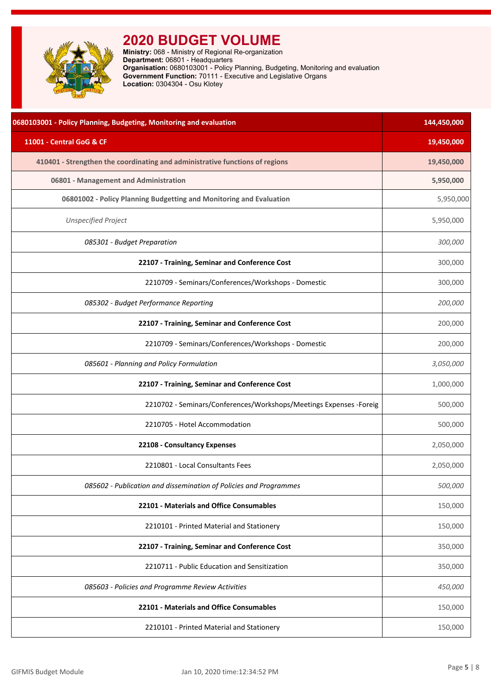<span id="page-5-0"></span>

| 0680103001 - Policy Planning, Budgeting, Monitoring and evaluation           | 144,450,000 |
|------------------------------------------------------------------------------|-------------|
| 11001 - Central GoG & CF                                                     | 19,450,000  |
| 410401 - Strengthen the coordinating and administrative functions of regions | 19,450,000  |
| 06801 - Management and Administration                                        | 5,950,000   |
| 06801002 - Policy Planning Budgetting and Monitoring and Evaluation          | 5,950,000   |
| <b>Unspecified Project</b>                                                   | 5,950,000   |
| 085301 - Budget Preparation                                                  | 300,000     |
| 22107 - Training, Seminar and Conference Cost                                | 300,000     |
| 2210709 - Seminars/Conferences/Workshops - Domestic                          | 300,000     |
| 085302 - Budget Performance Reporting                                        | 200,000     |
| 22107 - Training, Seminar and Conference Cost                                | 200,000     |
| 2210709 - Seminars/Conferences/Workshops - Domestic                          | 200,000     |
| 085601 - Planning and Policy Formulation                                     | 3,050,000   |
| 22107 - Training, Seminar and Conference Cost                                | 1,000,000   |
| 2210702 - Seminars/Conferences/Workshops/Meetings Expenses -Foreig           | 500,000     |
| 2210705 - Hotel Accommodation                                                | 500,000     |
| 22108 - Consultancy Expenses                                                 | 2,050,000   |
| 2210801 - Local Consultants Fees                                             | 2,050,000   |
| 085602 - Publication and dissemination of Policies and Programmes            | 500,000     |
| 22101 - Materials and Office Consumables                                     | 150,000     |
| 2210101 - Printed Material and Stationery                                    | 150,000     |
| 22107 - Training, Seminar and Conference Cost                                | 350,000     |
| 2210711 - Public Education and Sensitization                                 | 350,000     |
| 085603 - Policies and Programme Review Activities                            | 450,000     |
| 22101 - Materials and Office Consumables                                     | 150,000     |
| 2210101 - Printed Material and Stationery                                    | 150,000     |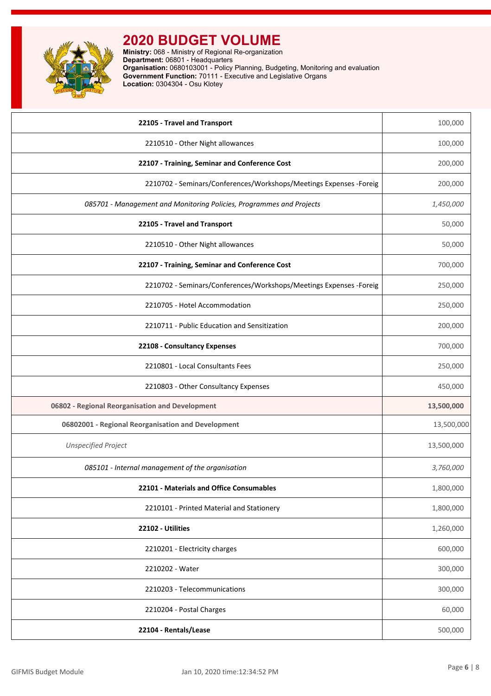

| 22105 - Travel and Transport                                         | 100,000    |
|----------------------------------------------------------------------|------------|
| 2210510 - Other Night allowances                                     | 100,000    |
| 22107 - Training, Seminar and Conference Cost                        | 200,000    |
| 2210702 - Seminars/Conferences/Workshops/Meetings Expenses - Foreig  | 200,000    |
| 085701 - Management and Monitoring Policies, Programmes and Projects | 1,450,000  |
| 22105 - Travel and Transport                                         | 50,000     |
| 2210510 - Other Night allowances                                     | 50,000     |
| 22107 - Training, Seminar and Conference Cost                        | 700,000    |
| 2210702 - Seminars/Conferences/Workshops/Meetings Expenses - Foreig  | 250,000    |
| 2210705 - Hotel Accommodation                                        | 250,000    |
| 2210711 - Public Education and Sensitization                         | 200,000    |
| 22108 - Consultancy Expenses                                         | 700,000    |
| 2210801 - Local Consultants Fees                                     | 250,000    |
| 2210803 - Other Consultancy Expenses                                 | 450,000    |
| 06802 - Regional Reorganisation and Development                      | 13,500,000 |
| 06802001 - Regional Reorganisation and Development                   | 13,500,000 |
| <b>Unspecified Project</b>                                           | 13,500,000 |
| 085101 - Internal management of the organisation                     | 3,760,000  |
| 22101 - Materials and Office Consumables                             | 1,800,000  |
| 2210101 - Printed Material and Stationery                            | 1,800,000  |
| 22102 - Utilities                                                    | 1,260,000  |
| 2210201 - Electricity charges                                        | 600,000    |
| 2210202 - Water                                                      | 300,000    |
| 2210203 - Telecommunications                                         | 300,000    |
| 2210204 - Postal Charges                                             | 60,000     |
| 22104 - Rentals/Lease                                                | 500,000    |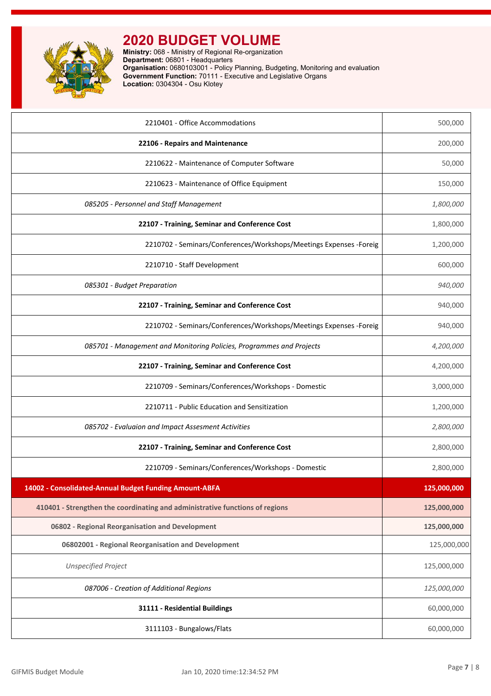

| 2210401 - Office Accommodations                                              | 500,000     |
|------------------------------------------------------------------------------|-------------|
| 22106 - Repairs and Maintenance                                              | 200,000     |
| 2210622 - Maintenance of Computer Software                                   | 50,000      |
| 2210623 - Maintenance of Office Equipment                                    | 150,000     |
| 085205 - Personnel and Staff Management                                      | 1,800,000   |
| 22107 - Training, Seminar and Conference Cost                                | 1,800,000   |
| 2210702 - Seminars/Conferences/Workshops/Meetings Expenses - Foreig          | 1,200,000   |
| 2210710 - Staff Development                                                  | 600,000     |
| 085301 - Budget Preparation                                                  | 940,000     |
| 22107 - Training, Seminar and Conference Cost                                | 940,000     |
| 2210702 - Seminars/Conferences/Workshops/Meetings Expenses - Foreig          | 940,000     |
| 085701 - Management and Monitoring Policies, Programmes and Projects         | 4,200,000   |
| 22107 - Training, Seminar and Conference Cost                                | 4,200,000   |
| 2210709 - Seminars/Conferences/Workshops - Domestic                          | 3,000,000   |
| 2210711 - Public Education and Sensitization                                 | 1,200,000   |
| 085702 - Evaluaion and Impact Assesment Activities                           | 2,800,000   |
| 22107 - Training, Seminar and Conference Cost                                | 2,800,000   |
| 2210709 - Seminars/Conferences/Workshops - Domestic                          | 2,800,000   |
| 14002 - Consolidated-Annual Budget Funding Amount-ABFA                       | 125,000,000 |
| 410401 - Strengthen the coordinating and administrative functions of regions | 125,000,000 |
| 06802 - Regional Reorganisation and Development                              | 125,000,000 |
| 06802001 - Regional Reorganisation and Development                           | 125,000,000 |
| <b>Unspecified Project</b>                                                   | 125,000,000 |
| 087006 - Creation of Additional Regions                                      | 125,000,000 |
| 31111 - Residential Buildings                                                | 60,000,000  |
| 3111103 - Bungalows/Flats                                                    | 60,000,000  |